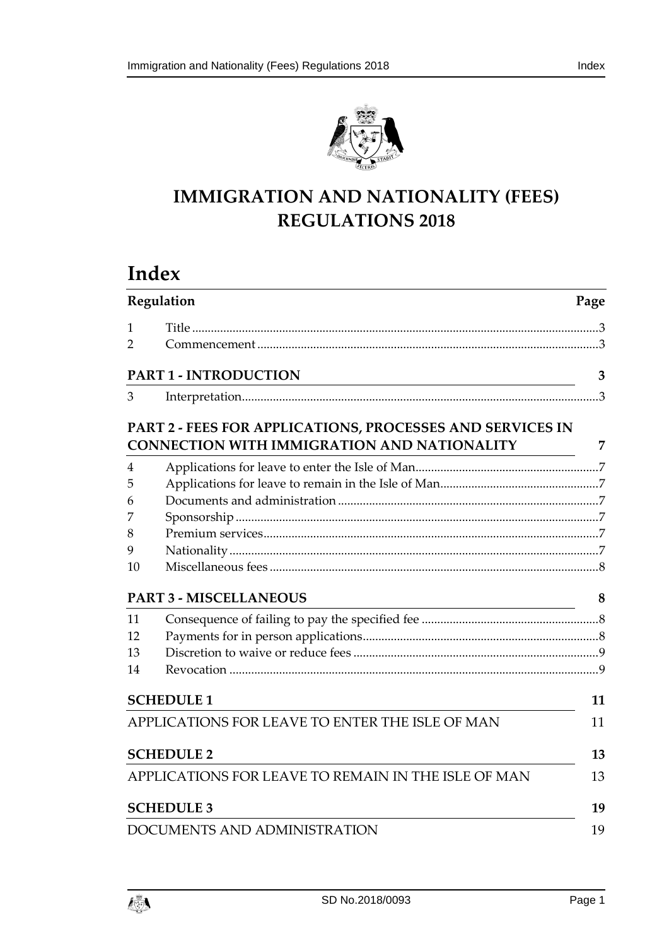

# **IMMIGRATION AND NATIONALITY (FEES) REGULATIONS 2018**

# **Index**

|                | Regulation<br>Page                                                                                       |    |
|----------------|----------------------------------------------------------------------------------------------------------|----|
| 1              |                                                                                                          |    |
| $\overline{2}$ |                                                                                                          |    |
|                | <b>PART 1 - INTRODUCTION</b>                                                                             | 3  |
| 3              |                                                                                                          |    |
|                | PART 2 - FEES FOR APPLICATIONS, PROCESSES AND SERVICES IN<br>CONNECTION WITH IMMIGRATION AND NATIONALITY | 7  |
| 4              |                                                                                                          |    |
| 5              |                                                                                                          |    |
| 6              |                                                                                                          |    |
| 7              |                                                                                                          |    |
| 8              |                                                                                                          |    |
| 9              |                                                                                                          |    |
| 10             |                                                                                                          |    |
|                | <b>PART 3 - MISCELLANEOUS</b>                                                                            | 8  |
| 11             |                                                                                                          |    |
| 12             |                                                                                                          |    |
| 13             |                                                                                                          |    |
| 14             |                                                                                                          |    |
|                | <b>SCHEDULE 1</b>                                                                                        | 11 |
|                | APPLICATIONS FOR LEAVE TO ENTER THE ISLE OF MAN                                                          | 11 |
|                | <b>SCHEDULE 2</b>                                                                                        | 13 |
|                | APPLICATIONS FOR LEAVE TO REMAIN IN THE ISLE OF MAN                                                      | 13 |
|                | <b>SCHEDULE 3</b>                                                                                        | 19 |
|                | DOCUMENTS AND ADMINISTRATION                                                                             | 19 |

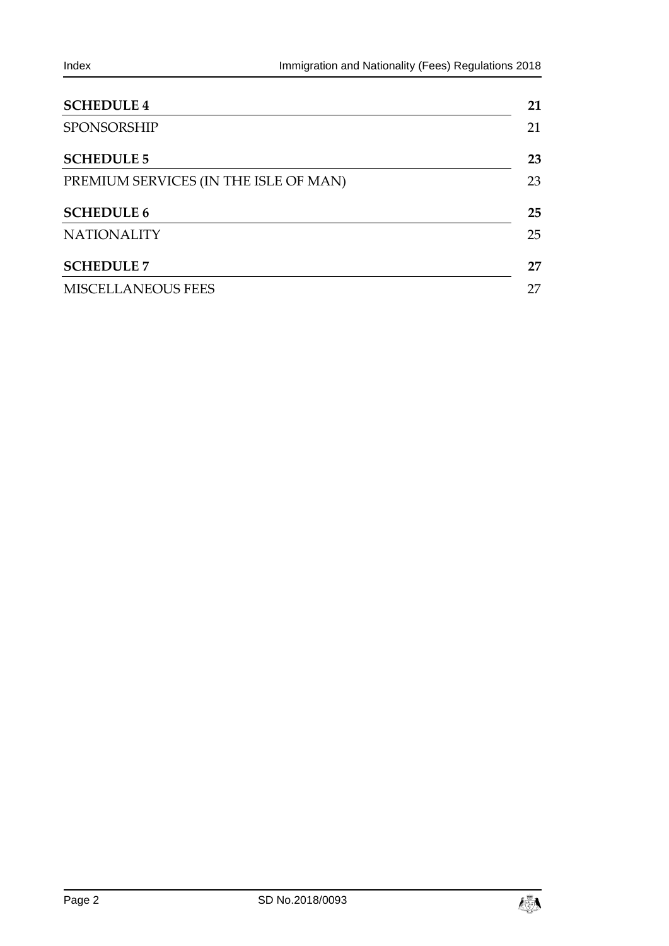| <b>SCHEDULE 4</b>                     | 21 |
|---------------------------------------|----|
| <b>SPONSORSHIP</b>                    | 21 |
| <b>SCHEDULE 5</b>                     | 23 |
| PREMIUM SERVICES (IN THE ISLE OF MAN) | 23 |
| <b>SCHEDULE 6</b>                     | 25 |
| <b>NATIONALITY</b>                    | 25 |
| <b>SCHEDULE 7</b>                     | 27 |
| <b>MISCELLANEOUS FEES</b>             | 27 |

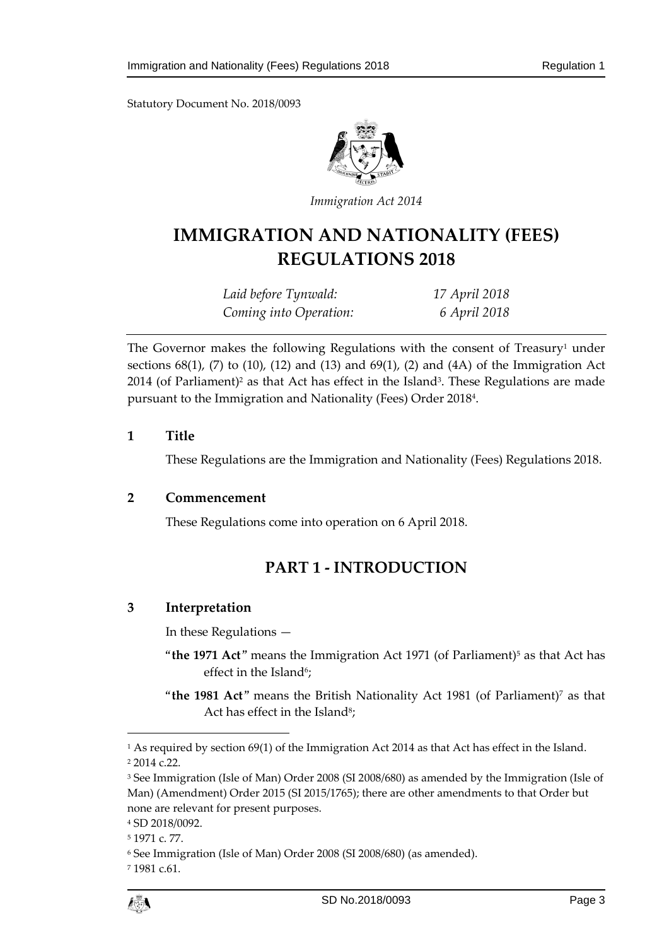

*Immigration Act 2014*

# **IMMIGRATION AND NATIONALITY (FEES) REGULATIONS 2018**

| Laid before Tynwald:   | 17 April 2018 |
|------------------------|---------------|
| Coming into Operation: | 6 April 2018  |

The Governor makes the following Regulations with the consent of Treasury<sup>1</sup> under sections  $68(1)$ ,  $(7)$  to  $(10)$ ,  $(12)$  and  $(13)$  and  $69(1)$ ,  $(2)$  and  $(4A)$  of the Immigration Act  $2014$  (of Parliament)<sup>2</sup> as that Act has effect in the Island<sup>3</sup>. These Regulations are made pursuant to the Immigration and Nationality (Fees) Order 2018<sup>4</sup> .

# <span id="page-2-0"></span>**1 Title**

These Regulations are the Immigration and Nationality (Fees) Regulations 2018.

### <span id="page-2-2"></span><span id="page-2-1"></span>**2 Commencement**

These Regulations come into operation on 6 April 2018.

# **PART 1 - INTRODUCTION**

# <span id="page-2-3"></span>**3 Interpretation**

In these Regulations —

- "the 1971 Act" means the Immigration Act 1971 (of Parliament)<sup>5</sup> as that Act has effect in the Island<sup>6</sup>;
- "**the 1981 Act**" means the British Nationality Act 1981 (of Parliament)<sup>7</sup> as that Act has effect in the Island<sup>8</sup>;

 $\overline{a}$ 

<sup>1</sup> As required by section 69(1) of the Immigration Act 2014 as that Act has effect in the Island. <sup>2</sup> 2014 c.22.

<sup>3</sup> See Immigration (Isle of Man) Order 2008 (SI 2008/680) as amended by the Immigration (Isle of Man) (Amendment) Order 2015 (SI 2015/1765); there are other amendments to that Order but none are relevant for present purposes.

<sup>4</sup> SD 2018/0092.

<sup>5</sup> 1971 c. 77.

<sup>6</sup> See Immigration (Isle of Man) Order 2008 (SI 2008/680) (as amended).

<sup>7</sup> 1981 c.61.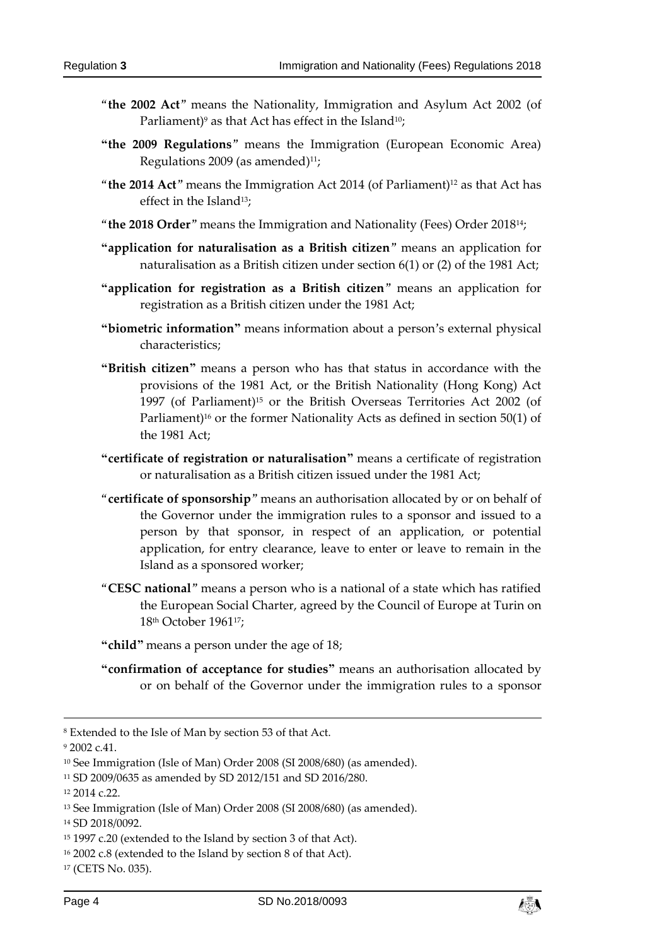- "**the 2002 Act**" means the Nationality, Immigration and Asylum Act 2002 (of Parliament)<sup>9</sup> as that Act has effect in the Island<sup>10</sup>;
- **"the 2009 Regulations**" means the Immigration (European Economic Area) Regulations 2009 (as amended) $11$ ;
- "**the 2014 Act**" means the Immigration Act 2014 (of Parliament)<sup>12</sup> as that Act has effect in the Island<sup>13</sup>;
- "**the 2018 Order**" means the Immigration and Nationality (Fees) Order 2018 14;
- **"application for naturalisation as a British citizen**" means an application for naturalisation as a British citizen under section 6(1) or (2) of the 1981 Act;
- **"application for registration as a British citizen**" means an application for registration as a British citizen under the 1981 Act;
- **"biometric information"** means information about a person's external physical characteristics;
- **"British citizen"** means a person who has that status in accordance with the provisions of the 1981 Act, or the British Nationality (Hong Kong) Act 1997 (of Parliament)<sup>15</sup> or the British Overseas Territories Act 2002 (of Parliament)<sup>16</sup> or the former Nationality Acts as defined in section 50(1) of the 1981 Act;
- **"certificate of registration or naturalisation"** means a certificate of registration or naturalisation as a British citizen issued under the 1981 Act;
- "**certificate of sponsorship**" means an authorisation allocated by or on behalf of the Governor under the immigration rules to a sponsor and issued to a person by that sponsor, in respect of an application, or potential application, for entry clearance, leave to enter or leave to remain in the Island as a sponsored worker;
- "**CESC national**" means a person who is a national of a state which has ratified the European Social Charter, agreed by the Council of Europe at Turin on 18th October 196117;

**"child"** means a person under the age of 18;

**"confirmation of acceptance for studies"** means an authorisation allocated by or on behalf of the Governor under the immigration rules to a sponsor

-

<sup>12</sup> 2014 c.22.



<sup>8</sup> Extended to the Isle of Man by section 53 of that Act.

<sup>9</sup> 2002 c.41.

<sup>10</sup> See Immigration (Isle of Man) Order 2008 (SI 2008/680) (as amended).

<sup>11</sup> SD 2009/0635 as amended by SD 2012/151 and SD 2016/280.

<sup>13</sup> See Immigration (Isle of Man) Order 2008 (SI 2008/680) (as amended).

<sup>14</sup> SD 2018/0092.

<sup>15</sup> 1997 c.20 (extended to the Island by section 3 of that Act).

<sup>16</sup> 2002 c.8 (extended to the Island by section 8 of that Act).

<sup>17</sup> (CETS No. 035).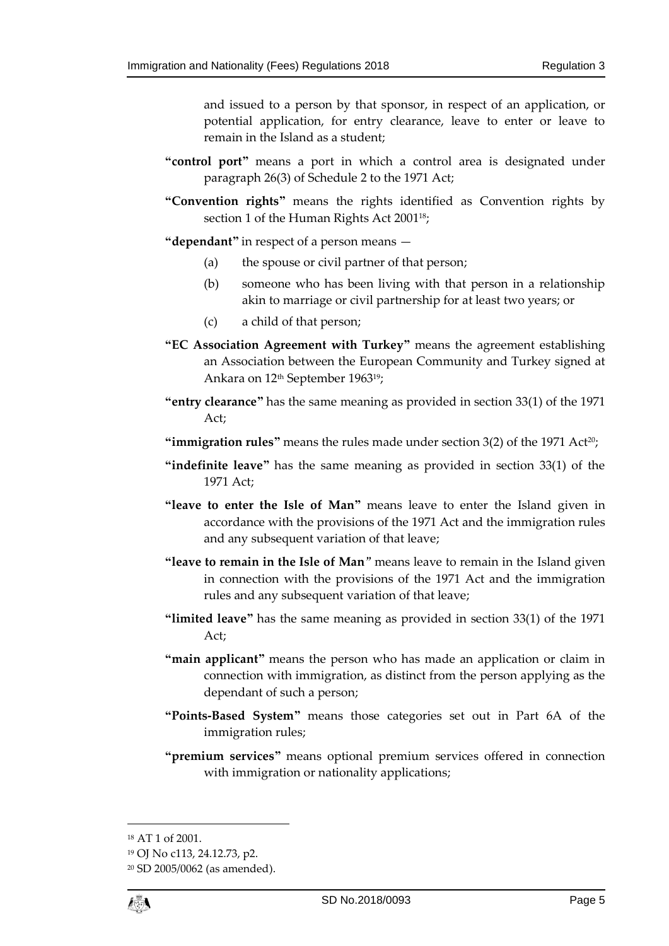and issued to a person by that sponsor, in respect of an application, or potential application, for entry clearance, leave to enter or leave to remain in the Island as a student;

- **"control port"** means a port in which a control area is designated under paragraph 26(3) of Schedule 2 to the 1971 Act;
- **"Convention rights"** means the rights identified as Convention rights by section 1 of the Human Rights Act 2001<sup>18</sup>;
- **"dependant"** in respect of a person means
	- (a) the spouse or civil partner of that person;
	- (b) someone who has been living with that person in a relationship akin to marriage or civil partnership for at least two years; or
	- (c) a child of that person;
- **"EC Association Agreement with Turkey"** means the agreement establishing an Association between the European Community and Turkey signed at Ankara on 12<sup>th</sup> September 1963<sup>19</sup>;
- **"entry clearance"** has the same meaning as provided in section 33(1) of the 1971 Act;
- **"immigration rules"** means the rules made under section  $3(2)$  of the  $1971$  Act<sup>20</sup>;
- **"indefinite leave"** has the same meaning as provided in section 33(1) of the 1971 Act;
- **"leave to enter the Isle of Man"** means leave to enter the Island given in accordance with the provisions of the 1971 Act and the immigration rules and any subsequent variation of that leave;
- **"leave to remain in the Isle of Man**" means leave to remain in the Island given in connection with the provisions of the 1971 Act and the immigration rules and any subsequent variation of that leave;
- **"limited leave"** has the same meaning as provided in section 33(1) of the 1971 Act;
- **"main applicant"** means the person who has made an application or claim in connection with immigration, as distinct from the person applying as the dependant of such a person;
- **"Points-Based System"** means those categories set out in Part 6A of the immigration rules;
- **"premium services"** means optional premium services offered in connection with immigration or nationality applications;

1

<sup>18</sup> AT 1 of 2001.

<sup>19</sup> OJ No c113, 24.12.73, p2.

<sup>20</sup> SD 2005/0062 (as amended).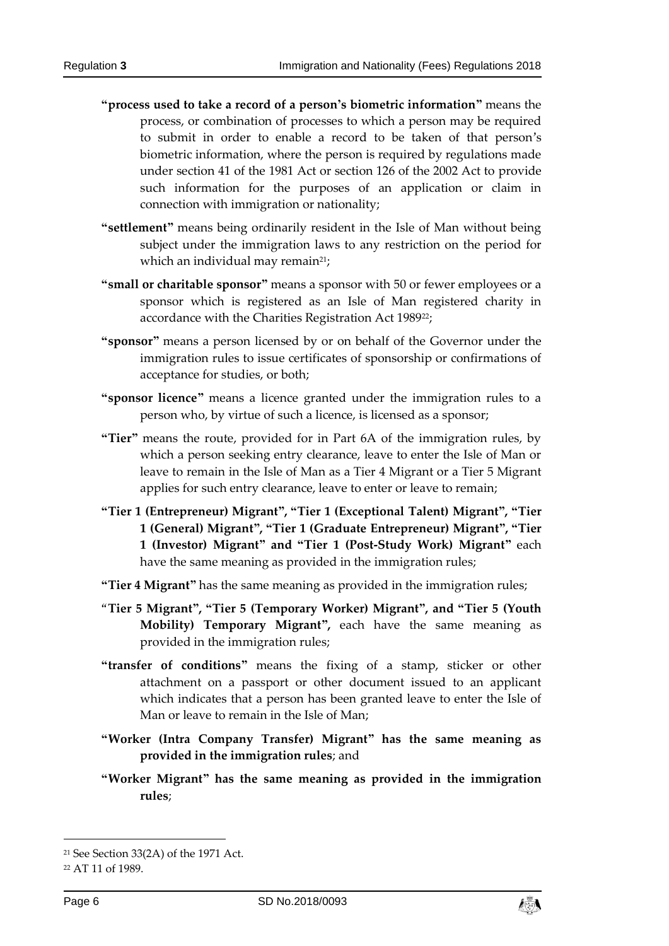- **"process used to take a record of a person's biometric information"** means the process, or combination of processes to which a person may be required to submit in order to enable a record to be taken of that person's biometric information, where the person is required by regulations made under section 41 of the 1981 Act or section 126 of the 2002 Act to provide such information for the purposes of an application or claim in connection with immigration or nationality;
- **"settlement"** means being ordinarily resident in the Isle of Man without being subject under the immigration laws to any restriction on the period for which an individual may remain<sup>21</sup>;
- **"small or charitable sponsor"** means a sponsor with 50 or fewer employees or a sponsor which is registered as an Isle of Man registered charity in accordance with the Charities Registration Act 1989<sup>22</sup>;
- **"sponsor"** means a person licensed by or on behalf of the Governor under the immigration rules to issue certificates of sponsorship or confirmations of acceptance for studies, or both;
- **"sponsor licence"** means a licence granted under the immigration rules to a person who, by virtue of such a licence, is licensed as a sponsor;
- **"Tier"** means the route, provided for in Part 6A of the immigration rules, by which a person seeking entry clearance, leave to enter the Isle of Man or leave to remain in the Isle of Man as a Tier 4 Migrant or a Tier 5 Migrant applies for such entry clearance, leave to enter or leave to remain;
- **"Tier 1 (Entrepreneur) Migrant", "Tier 1 (Exceptional Talent) Migrant", "Tier 1 (General) Migrant", "Tier 1 (Graduate Entrepreneur) Migrant", "Tier 1 (Investor) Migrant" and "Tier 1 (Post-Study Work) Migrant"** each have the same meaning as provided in the immigration rules;

**"Tier 4 Migrant"** has the same meaning as provided in the immigration rules;

- "**Tier 5 Migrant", "Tier 5 (Temporary Worker) Migrant", and "Tier 5 (Youth Mobility) Temporary Migrant",** each have the same meaning as provided in the immigration rules;
- **"transfer of conditions"** means the fixing of a stamp, sticker or other attachment on a passport or other document issued to an applicant which indicates that a person has been granted leave to enter the Isle of Man or leave to remain in the Isle of Man;
- **"Worker (Intra Company Transfer) Migrant" has the same meaning as provided in the immigration rules**; and
- **"Worker Migrant" has the same meaning as provided in the immigration rules**;

1

<sup>21</sup> See Section 33(2A) of the 1971 Act.

<sup>22</sup> AT 11 of 1989.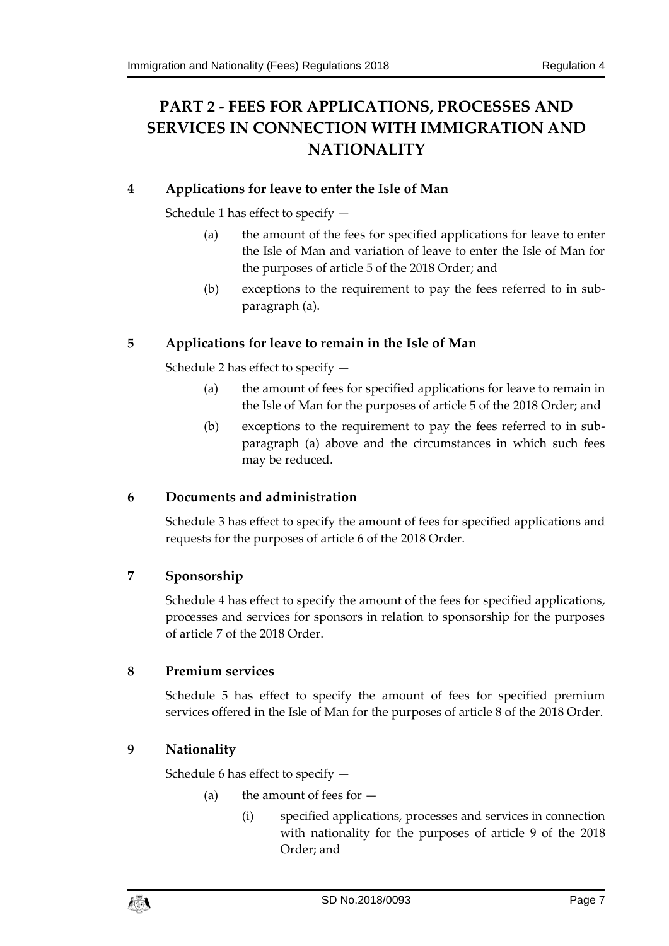# <span id="page-6-0"></span>**PART 2 - FEES FOR APPLICATIONS, PROCESSES AND SERVICES IN CONNECTION WITH IMMIGRATION AND NATIONALITY**

# <span id="page-6-1"></span>**4 Applications for leave to enter the Isle of Man**

Schedule 1 has effect to specify —

- (a) the amount of the fees for specified applications for leave to enter the Isle of Man and variation of leave to enter the Isle of Man for the purposes of article 5 of the 2018 Order; and
- (b) exceptions to the requirement to pay the fees referred to in subparagraph (a).

# <span id="page-6-2"></span>**5 Applications for leave to remain in the Isle of Man**

Schedule 2 has effect to specify —

- (a) the amount of fees for specified applications for leave to remain in the Isle of Man for the purposes of article 5 of the 2018 Order; and
- (b) exceptions to the requirement to pay the fees referred to in subparagraph (a) above and the circumstances in which such fees may be reduced.

# <span id="page-6-3"></span>**6 Documents and administration**

Schedule 3 has effect to specify the amount of fees for specified applications and requests for the purposes of article 6 of the 2018 Order.

# <span id="page-6-4"></span>**7 Sponsorship**

Schedule 4 has effect to specify the amount of the fees for specified applications, processes and services for sponsors in relation to sponsorship for the purposes of article 7 of the 2018 Order.

# <span id="page-6-5"></span>**8 Premium services**

Schedule 5 has effect to specify the amount of fees for specified premium services offered in the Isle of Man for the purposes of article 8 of the 2018 Order.

# <span id="page-6-6"></span>**9 Nationality**

Schedule 6 has effect to specify —

- (a) the amount of fees for  $-$ 
	- (i) specified applications, processes and services in connection with nationality for the purposes of article 9 of the 2018 Order; and

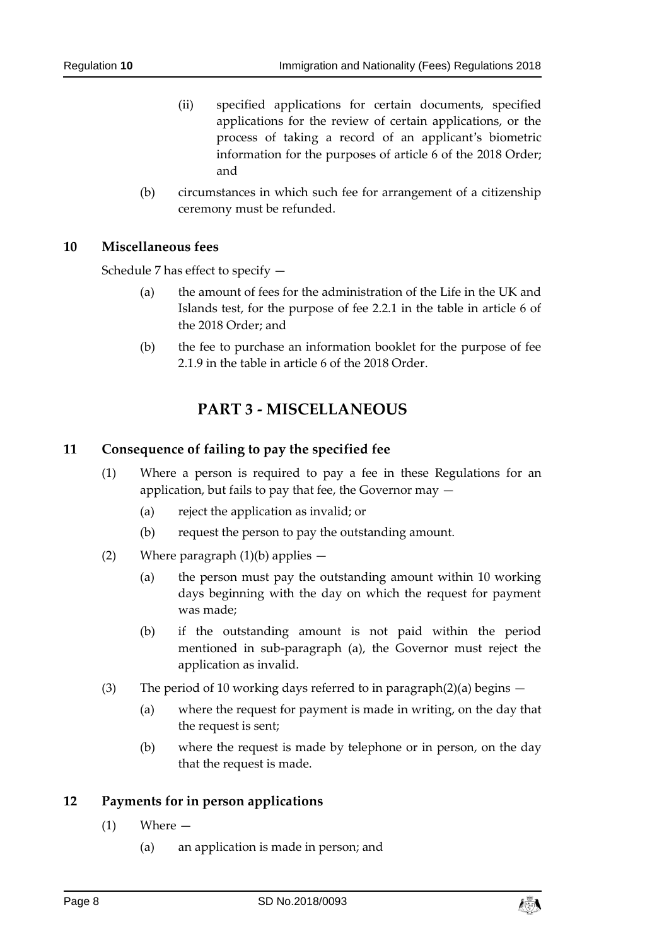- (ii) specified applications for certain documents, specified applications for the review of certain applications, or the process of taking a record of an applicant's biometric information for the purposes of article 6 of the 2018 Order; and
- (b) circumstances in which such fee for arrangement of a citizenship ceremony must be refunded.

#### <span id="page-7-0"></span>**10 Miscellaneous fees**

Schedule 7 has effect to specify —

- (a) the amount of fees for the administration of the Life in the UK and Islands test, for the purpose of fee 2.2.1 in the table in article 6 of the 2018 Order; and
- (b) the fee to purchase an information booklet for the purpose of fee 2.1.9 in the table in article 6 of the 2018 Order.

# **PART 3 - MISCELLANEOUS**

### <span id="page-7-2"></span><span id="page-7-1"></span>**11 Consequence of failing to pay the specified fee**

- (1) Where a person is required to pay a fee in these Regulations for an application, but fails to pay that fee, the Governor may —
	- (a) reject the application as invalid; or
	- (b) request the person to pay the outstanding amount.
- (2) Where paragraph  $(1)(b)$  applies  $-$ 
	- (a) the person must pay the outstanding amount within 10 working days beginning with the day on which the request for payment was made;
	- (b) if the outstanding amount is not paid within the period mentioned in sub-paragraph (a), the Governor must reject the application as invalid.
- (3) The period of 10 working days referred to in paragraph(2)(a) begins  $-$ 
	- (a) where the request for payment is made in writing, on the day that the request is sent;
	- (b) where the request is made by telephone or in person, on the day that the request is made.

#### <span id="page-7-3"></span>**12 Payments for in person applications**

- (1) Where
	- (a) an application is made in person; and

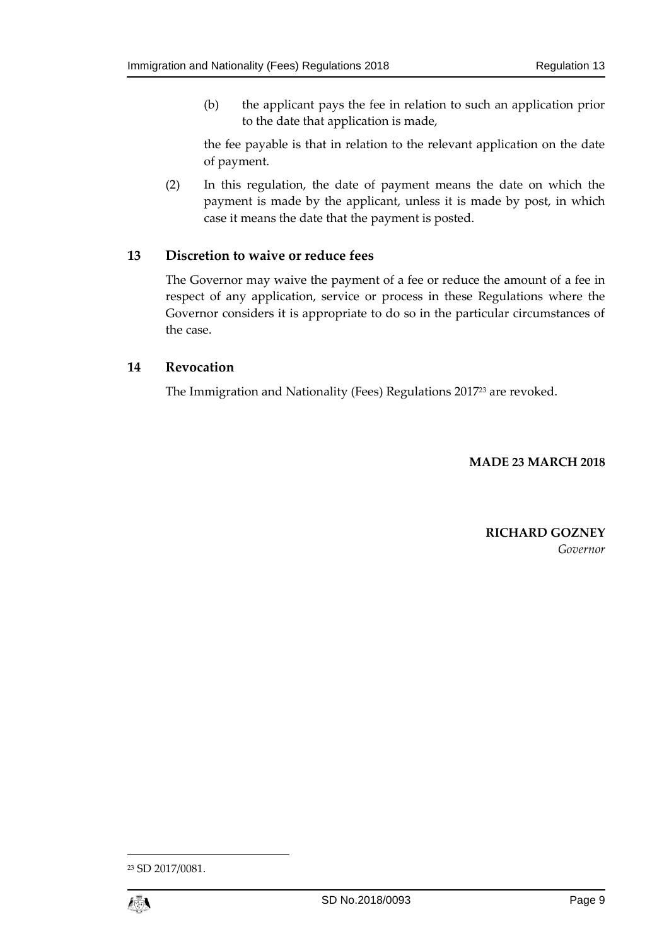(b) the applicant pays the fee in relation to such an application prior to the date that application is made,

the fee payable is that in relation to the relevant application on the date of payment.

(2) In this regulation, the date of payment means the date on which the payment is made by the applicant, unless it is made by post, in which case it means the date that the payment is posted.

### <span id="page-8-0"></span>**13 Discretion to waive or reduce fees**

The Governor may waive the payment of a fee or reduce the amount of a fee in respect of any application, service or process in these Regulations where the Governor considers it is appropriate to do so in the particular circumstances of the case.

### <span id="page-8-1"></span>**14 Revocation**

The Immigration and Nationality (Fees) Regulations 2017<sup>23</sup> are revoked.

**MADE 23 MARCH 2018**

# **RICHARD GOZNEY** *Governor*

<sup>23</sup> SD 2017/0081.



1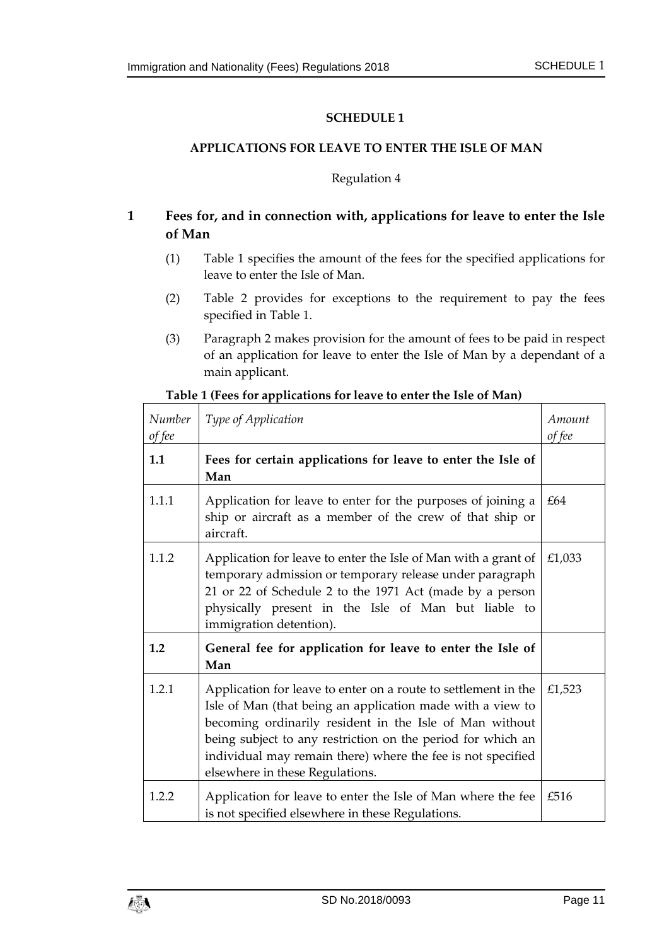### <span id="page-10-1"></span><span id="page-10-0"></span>**APPLICATIONS FOR LEAVE TO ENTER THE ISLE OF MAN**

### Regulation 4

# **1 Fees for, and in connection with, applications for leave to enter the Isle of Man**

- (1) Table 1 specifies the amount of the fees for the specified applications for leave to enter the Isle of Man.
- (2) Table 2 provides for exceptions to the requirement to pay the fees specified in Table 1.
- (3) Paragraph 2 makes provision for the amount of fees to be paid in respect of an application for leave to enter the Isle of Man by a dependant of a main applicant.

| Number<br>of fee | Type of Application                                                                                                                                                                                                                                                                                                                                      | Amount<br>of fee |
|------------------|----------------------------------------------------------------------------------------------------------------------------------------------------------------------------------------------------------------------------------------------------------------------------------------------------------------------------------------------------------|------------------|
| 1.1              | Fees for certain applications for leave to enter the Isle of<br>Man                                                                                                                                                                                                                                                                                      |                  |
| 1.1.1            | Application for leave to enter for the purposes of joining a<br>ship or aircraft as a member of the crew of that ship or<br>aircraft.                                                                                                                                                                                                                    | £64              |
| 1.1.2            | Application for leave to enter the Isle of Man with a grant of<br>temporary admission or temporary release under paragraph<br>21 or 22 of Schedule 2 to the 1971 Act (made by a person<br>physically present in the Isle of Man but liable to<br>immigration detention).                                                                                 | £1,033           |
| 1.2              | General fee for application for leave to enter the Isle of<br>Man                                                                                                                                                                                                                                                                                        |                  |
| 1.2.1            | Application for leave to enter on a route to settlement in the<br>Isle of Man (that being an application made with a view to<br>becoming ordinarily resident in the Isle of Man without<br>being subject to any restriction on the period for which an<br>individual may remain there) where the fee is not specified<br>elsewhere in these Regulations. | £1,523           |
| 1.2.2            | Application for leave to enter the Isle of Man where the fee<br>is not specified elsewhere in these Regulations.                                                                                                                                                                                                                                         | £516             |

#### **Table 1 (Fees for applications for leave to enter the Isle of Man)**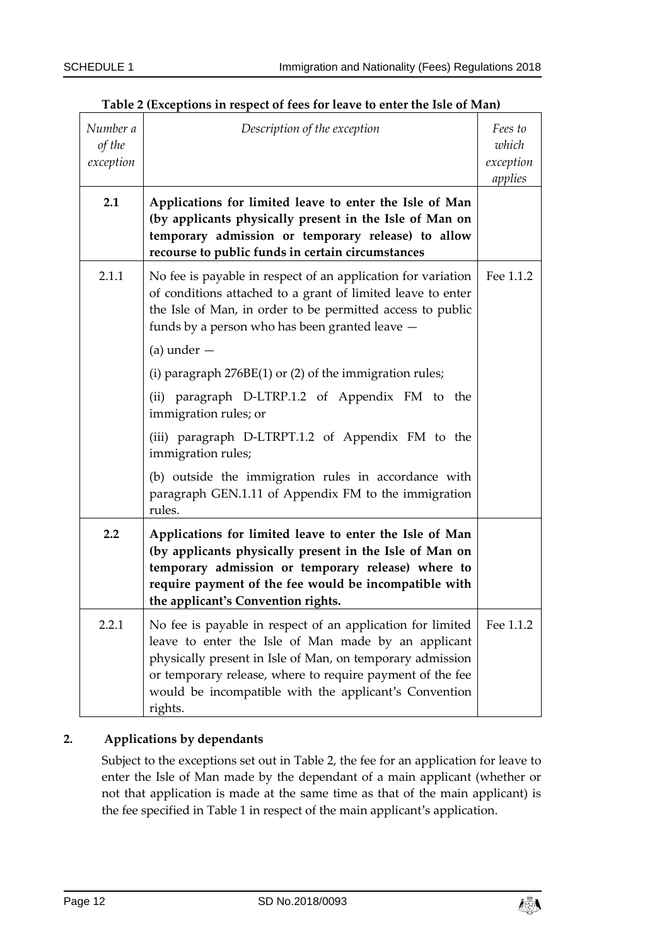| Number a<br>of the<br>exception | Description of the exception                                                                                                                                                                                                                                                                                    | Fees to<br>which<br>exception<br>applies |
|---------------------------------|-----------------------------------------------------------------------------------------------------------------------------------------------------------------------------------------------------------------------------------------------------------------------------------------------------------------|------------------------------------------|
| 2.1                             | Applications for limited leave to enter the Isle of Man<br>(by applicants physically present in the Isle of Man on<br>temporary admission or temporary release) to allow<br>recourse to public funds in certain circumstances                                                                                   |                                          |
| 2.1.1                           | No fee is payable in respect of an application for variation<br>of conditions attached to a grant of limited leave to enter<br>the Isle of Man, in order to be permitted access to public<br>funds by a person who has been granted leave -                                                                     | Fee 1.1.2                                |
|                                 | $(a)$ under $-$                                                                                                                                                                                                                                                                                                 |                                          |
|                                 | (i) paragraph $276BE(1)$ or (2) of the immigration rules;                                                                                                                                                                                                                                                       |                                          |
|                                 | (ii) paragraph D-LTRP.1.2 of Appendix FM to the<br>immigration rules; or                                                                                                                                                                                                                                        |                                          |
|                                 | (iii) paragraph D-LTRPT.1.2 of Appendix FM to the<br>immigration rules;                                                                                                                                                                                                                                         |                                          |
|                                 | (b) outside the immigration rules in accordance with<br>paragraph GEN.1.11 of Appendix FM to the immigration<br>rules.                                                                                                                                                                                          |                                          |
| 2.2                             | Applications for limited leave to enter the Isle of Man<br>(by applicants physically present in the Isle of Man on<br>temporary admission or temporary release) where to<br>require payment of the fee would be incompatible with<br>the applicant's Convention rights.                                         |                                          |
| 2.2.1                           | No fee is payable in respect of an application for limited<br>leave to enter the Isle of Man made by an applicant<br>physically present in Isle of Man, on temporary admission<br>or temporary release, where to require payment of the fee<br>would be incompatible with the applicant's Convention<br>rights. | Fee 1.1.2                                |

| Table 2 (Exceptions in respect of fees for leave to enter the Isle of Man) |
|----------------------------------------------------------------------------|
|----------------------------------------------------------------------------|

# **2. Applications by dependants**

Subject to the exceptions set out in Table 2, the fee for an application for leave to enter the Isle of Man made by the dependant of a main applicant (whether or not that application is made at the same time as that of the main applicant) is the fee specified in Table 1 in respect of the main applicant's application.

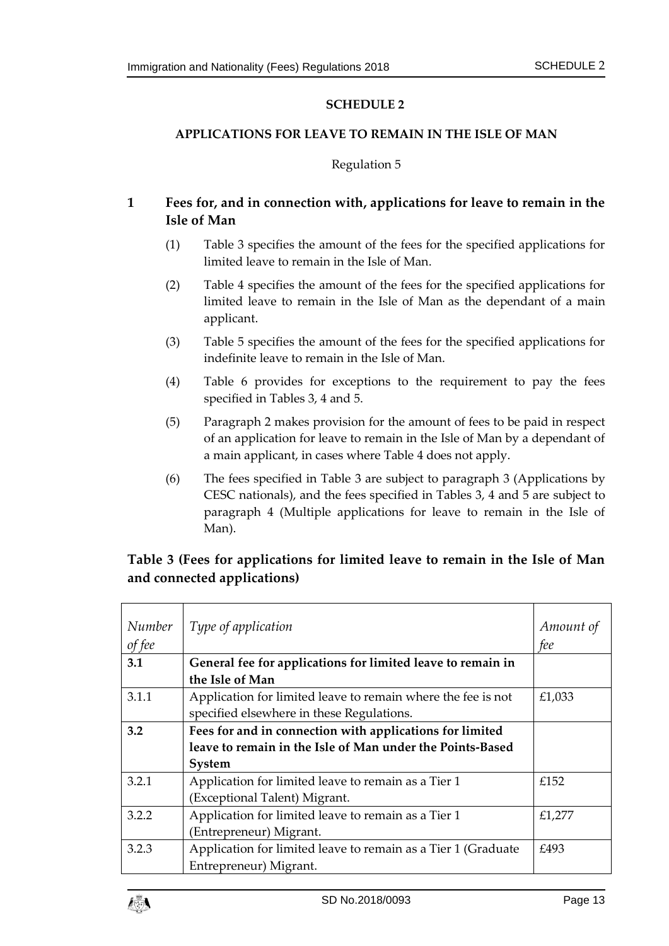### <span id="page-12-1"></span><span id="page-12-0"></span>**APPLICATIONS FOR LEAVE TO REMAIN IN THE ISLE OF MAN**

### Regulation 5

# **1 Fees for, and in connection with, applications for leave to remain in the Isle of Man**

- (1) Table 3 specifies the amount of the fees for the specified applications for limited leave to remain in the Isle of Man.
- (2) Table 4 specifies the amount of the fees for the specified applications for limited leave to remain in the Isle of Man as the dependant of a main applicant.
- (3) Table 5 specifies the amount of the fees for the specified applications for indefinite leave to remain in the Isle of Man.
- (4) Table 6 provides for exceptions to the requirement to pay the fees specified in Tables 3, 4 and 5.
- (5) Paragraph 2 makes provision for the amount of fees to be paid in respect of an application for leave to remain in the Isle of Man by a dependant of a main applicant, in cases where Table 4 does not apply.
- (6) The fees specified in Table 3 are subject to paragraph 3 (Applications by CESC nationals), and the fees specified in Tables 3, 4 and 5 are subject to paragraph 4 (Multiple applications for leave to remain in the Isle of Man).

# **Table 3 (Fees for applications for limited leave to remain in the Isle of Man and connected applications)**

| Number<br>of fee | Type of application                                                                                                             | Amount of<br>fee |
|------------------|---------------------------------------------------------------------------------------------------------------------------------|------------------|
| 3.1              | General fee for applications for limited leave to remain in<br>the Isle of Man                                                  |                  |
| 3.1.1            | Application for limited leave to remain where the fee is not<br>specified elsewhere in these Regulations.                       | £1,033           |
| 3.2              | Fees for and in connection with applications for limited<br>leave to remain in the Isle of Man under the Points-Based<br>System |                  |
| 3.2.1            | Application for limited leave to remain as a Tier 1<br>(Exceptional Talent) Migrant.                                            | £152             |
| 3.2.2            | Application for limited leave to remain as a Tier 1<br>(Entrepreneur) Migrant.                                                  | £1,277           |
| 3.2.3            | Application for limited leave to remain as a Tier 1 (Graduate<br>Entrepreneur) Migrant.                                         | £493             |

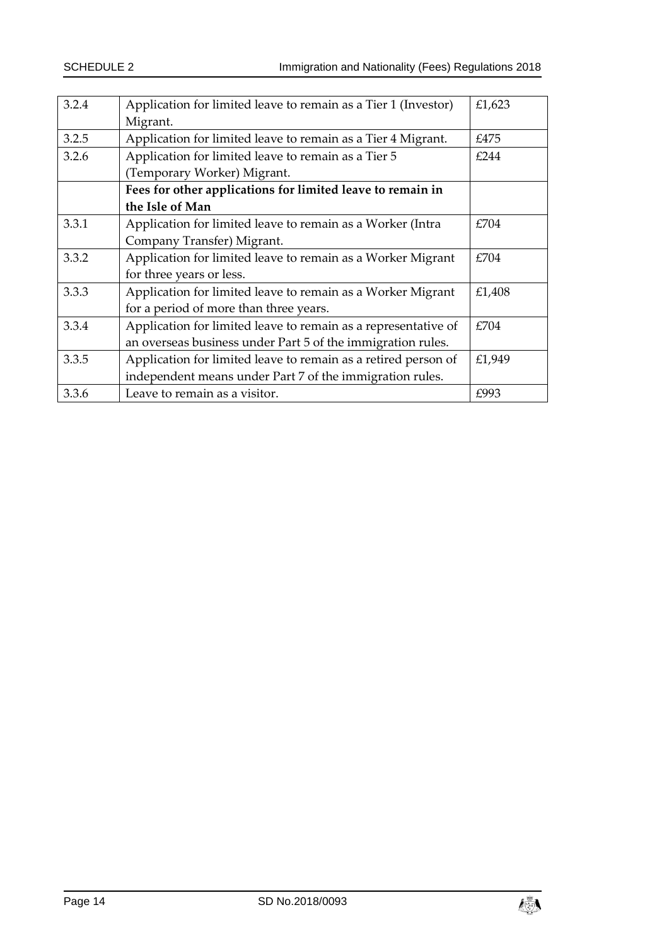| 3.2.4 | Application for limited leave to remain as a Tier 1 (Investor) | £1,623 |
|-------|----------------------------------------------------------------|--------|
|       | Migrant.                                                       |        |
| 3.2.5 | Application for limited leave to remain as a Tier 4 Migrant.   | £475   |
| 3.2.6 | Application for limited leave to remain as a Tier 5            | £244   |
|       | (Temporary Worker) Migrant.                                    |        |
|       | Fees for other applications for limited leave to remain in     |        |
|       | the Isle of Man                                                |        |
| 3.3.1 | Application for limited leave to remain as a Worker (Intra     | £704   |
|       | Company Transfer) Migrant.                                     |        |
| 3.3.2 | Application for limited leave to remain as a Worker Migrant    | £704   |
|       | for three years or less.                                       |        |
| 3.3.3 | Application for limited leave to remain as a Worker Migrant    | £1,408 |
|       | for a period of more than three years.                         |        |
| 3.3.4 | Application for limited leave to remain as a representative of | £704   |
|       | an overseas business under Part 5 of the immigration rules.    |        |
| 3.3.5 | Application for limited leave to remain as a retired person of | £1,949 |
|       | independent means under Part 7 of the immigration rules.       |        |
| 3.3.6 | Leave to remain as a visitor.                                  | £993   |

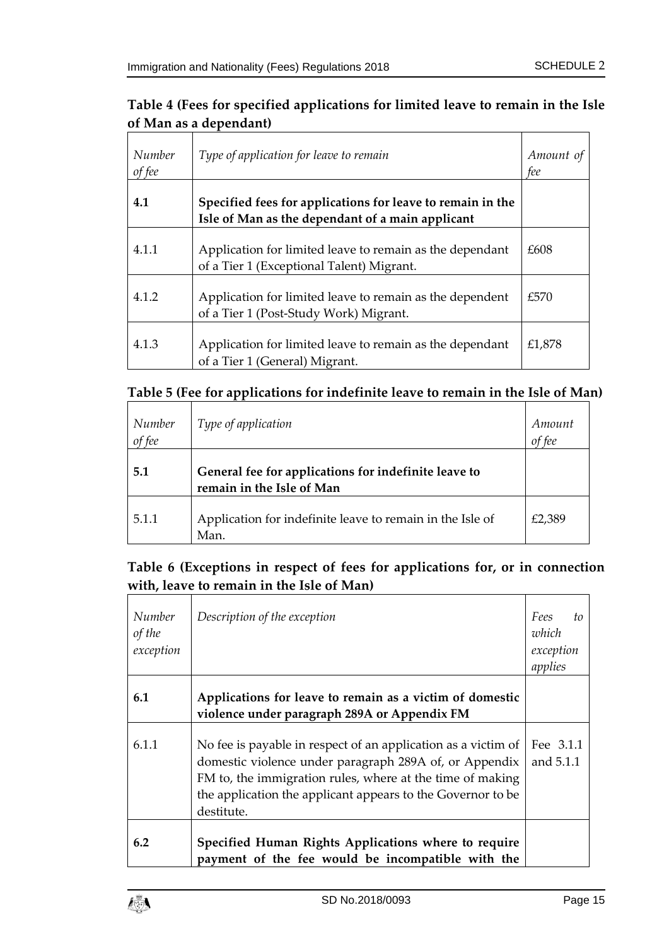# **Table 4 (Fees for specified applications for limited leave to remain in the Isle of Man as a dependant)**

| Number<br>of fee | Type of application for leave to remain                                                                        | Amount of<br>fee |
|------------------|----------------------------------------------------------------------------------------------------------------|------------------|
| 4.1              | Specified fees for applications for leave to remain in the<br>Isle of Man as the dependant of a main applicant |                  |
| 4.1.1            | Application for limited leave to remain as the dependant<br>of a Tier 1 (Exceptional Talent) Migrant.          | £608             |
| 4.1.2            | Application for limited leave to remain as the dependent<br>of a Tier 1 (Post-Study Work) Migrant.             | £570             |
| 4.1.3            | Application for limited leave to remain as the dependant<br>of a Tier 1 (General) Migrant.                     | £1,878           |

# **Table 5 (Fee for applications for indefinite leave to remain in the Isle of Man)**

| Number<br>of fee | Type of application                                                               | Amount |
|------------------|-----------------------------------------------------------------------------------|--------|
| 5.1              | General fee for applications for indefinite leave to<br>remain in the Isle of Man |        |
| 5.1.1            | Application for indefinite leave to remain in the Isle of<br>Man.                 | £2.389 |

# **Table 6 (Exceptions in respect of fees for applications for, or in connection with, leave to remain in the Isle of Man)**

| Number<br>of the<br>exception | Description of the exception                                                                                                                                                                                                                                      | Fees<br>to<br>which<br>exception<br>applies |
|-------------------------------|-------------------------------------------------------------------------------------------------------------------------------------------------------------------------------------------------------------------------------------------------------------------|---------------------------------------------|
| 6.1                           | Applications for leave to remain as a victim of domestic<br>violence under paragraph 289A or Appendix FM                                                                                                                                                          |                                             |
| 6.1.1                         | No fee is payable in respect of an application as a victim of<br>domestic violence under paragraph 289A of, or Appendix<br>FM to, the immigration rules, where at the time of making<br>the application the applicant appears to the Governor to be<br>destitute. | Fee 3.1.1<br>and 5.1.1                      |
| 6.2                           | Specified Human Rights Applications where to require<br>payment of the fee would be incompatible with the                                                                                                                                                         |                                             |

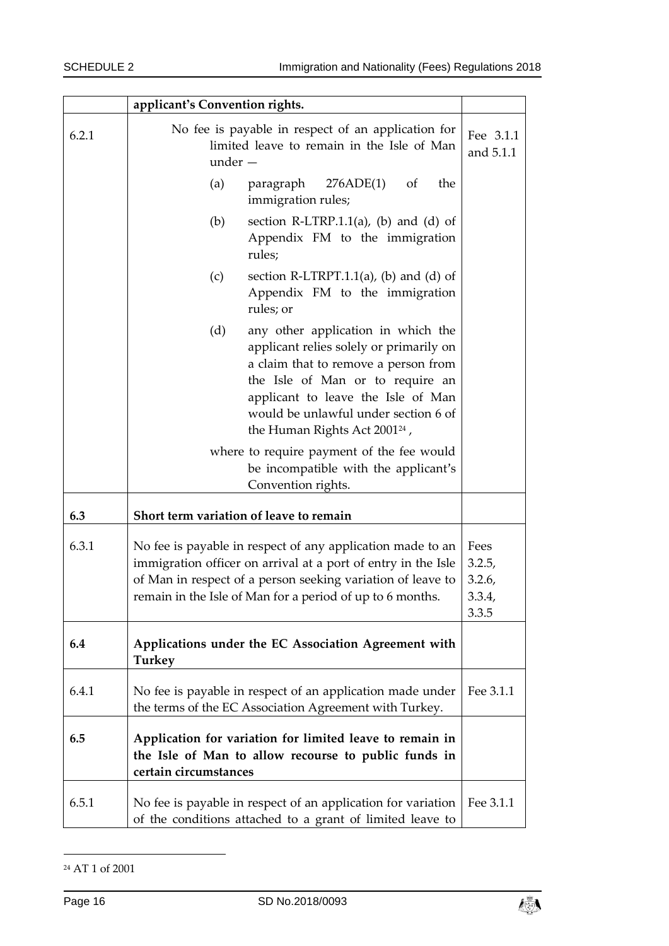|       | applicant's Convention rights.                                                                                                                                                                                                                                                              |                                             |
|-------|---------------------------------------------------------------------------------------------------------------------------------------------------------------------------------------------------------------------------------------------------------------------------------------------|---------------------------------------------|
| 6.2.1 | No fee is payable in respect of an application for<br>limited leave to remain in the Isle of Man<br>$under -$                                                                                                                                                                               | Fee 3.1.1<br>and 5.1.1                      |
|       | 276ADE(1)<br>(a)<br>paragraph<br><sub>of</sub><br>the<br>immigration rules;                                                                                                                                                                                                                 |                                             |
|       | (b)<br>section R-LTRP.1.1(a), (b) and (d) of<br>Appendix FM to the immigration<br>rules;                                                                                                                                                                                                    |                                             |
|       | (c)<br>section R-LTRPT.1.1(a), (b) and (d) of<br>Appendix FM to the immigration<br>rules; or                                                                                                                                                                                                |                                             |
|       | (d)<br>any other application in which the<br>applicant relies solely or primarily on<br>a claim that to remove a person from<br>the Isle of Man or to require an<br>applicant to leave the Isle of Man<br>would be unlawful under section 6 of<br>the Human Rights Act 2001 <sup>24</sup> , |                                             |
|       | where to require payment of the fee would<br>be incompatible with the applicant's<br>Convention rights.                                                                                                                                                                                     |                                             |
| 6.3   | Short term variation of leave to remain                                                                                                                                                                                                                                                     |                                             |
| 6.3.1 | No fee is payable in respect of any application made to an<br>immigration officer on arrival at a port of entry in the Isle<br>of Man in respect of a person seeking variation of leave to<br>remain in the Isle of Man for a period of up to 6 months.                                     | Fees<br>3.2.5,<br>3.2.6,<br>3.3.4,<br>3.3.5 |
| 6.4   | Applications under the EC Association Agreement with<br>Turkey                                                                                                                                                                                                                              |                                             |
| 6.4.1 | No fee is payable in respect of an application made under<br>the terms of the EC Association Agreement with Turkey.                                                                                                                                                                         | Fee 3.1.1                                   |
| 6.5   | Application for variation for limited leave to remain in<br>the Isle of Man to allow recourse to public funds in<br>certain circumstances                                                                                                                                                   |                                             |
| 6.5.1 | No fee is payable in respect of an application for variation<br>of the conditions attached to a grant of limited leave to                                                                                                                                                                   | Fee 3.1.1                                   |

<sup>24</sup> AT 1 of 2001

-

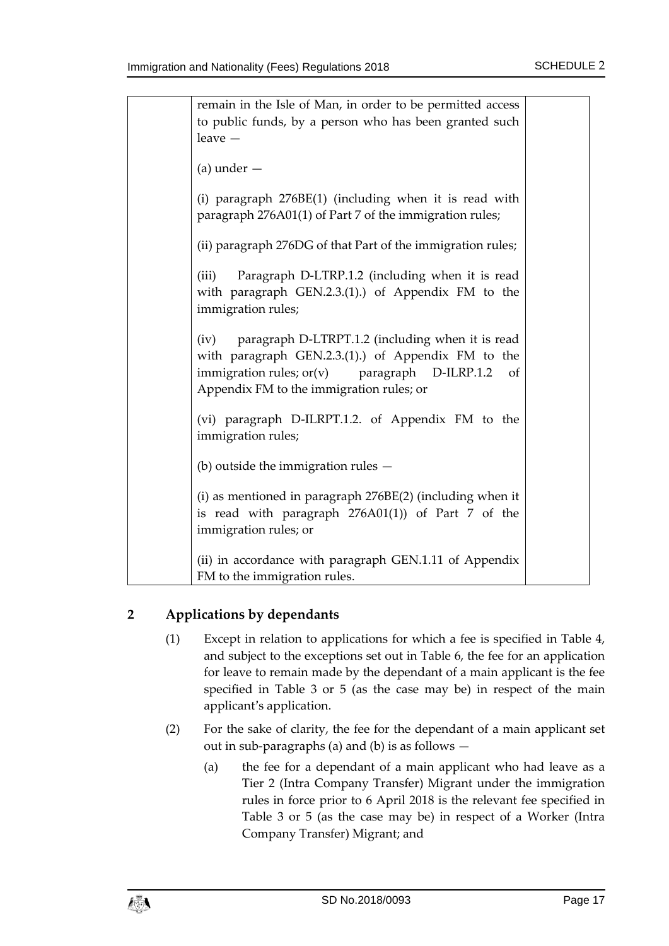| remain in the Isle of Man, in order to be permitted access<br>to public funds, by a person who has been granted such<br>$leave -$                                                                                            |  |
|------------------------------------------------------------------------------------------------------------------------------------------------------------------------------------------------------------------------------|--|
| $(a)$ under $-$                                                                                                                                                                                                              |  |
| (i) paragraph 276BE(1) (including when it is read with<br>paragraph 276A01(1) of Part 7 of the immigration rules;                                                                                                            |  |
| (ii) paragraph 276DG of that Part of the immigration rules;                                                                                                                                                                  |  |
| Paragraph D-LTRP.1.2 (including when it is read<br>(iii)<br>with paragraph GEN.2.3.(1).) of Appendix FM to the<br>immigration rules;                                                                                         |  |
| paragraph D-LTRPT.1.2 (including when it is read<br>(iv)<br>with paragraph GEN.2.3.(1).) of Appendix FM to the<br>immigration rules; $or(v)$<br>paragraph<br>$D$ -ILRP.1.2<br>of<br>Appendix FM to the immigration rules; or |  |
| (vi) paragraph D-ILRPT.1.2. of Appendix FM to the<br>immigration rules;                                                                                                                                                      |  |
| (b) outside the immigration rules $-$                                                                                                                                                                                        |  |
| (i) as mentioned in paragraph 276BE(2) (including when it<br>is read with paragraph 276A01(1)) of Part 7 of the<br>immigration rules; or                                                                                     |  |
| (ii) in accordance with paragraph GEN.1.11 of Appendix<br>FM to the immigration rules.                                                                                                                                       |  |

# **2 Applications by dependants**

- (1) Except in relation to applications for which a fee is specified in Table 4, and subject to the exceptions set out in Table 6, the fee for an application for leave to remain made by the dependant of a main applicant is the fee specified in Table 3 or 5 (as the case may be) in respect of the main applicant's application.
- (2) For the sake of clarity, the fee for the dependant of a main applicant set out in sub-paragraphs (a) and (b) is as follows —
	- (a) the fee for a dependant of a main applicant who had leave as a Tier 2 (Intra Company Transfer) Migrant under the immigration rules in force prior to 6 April 2018 is the relevant fee specified in Table 3 or 5 (as the case may be) in respect of a Worker (Intra Company Transfer) Migrant; and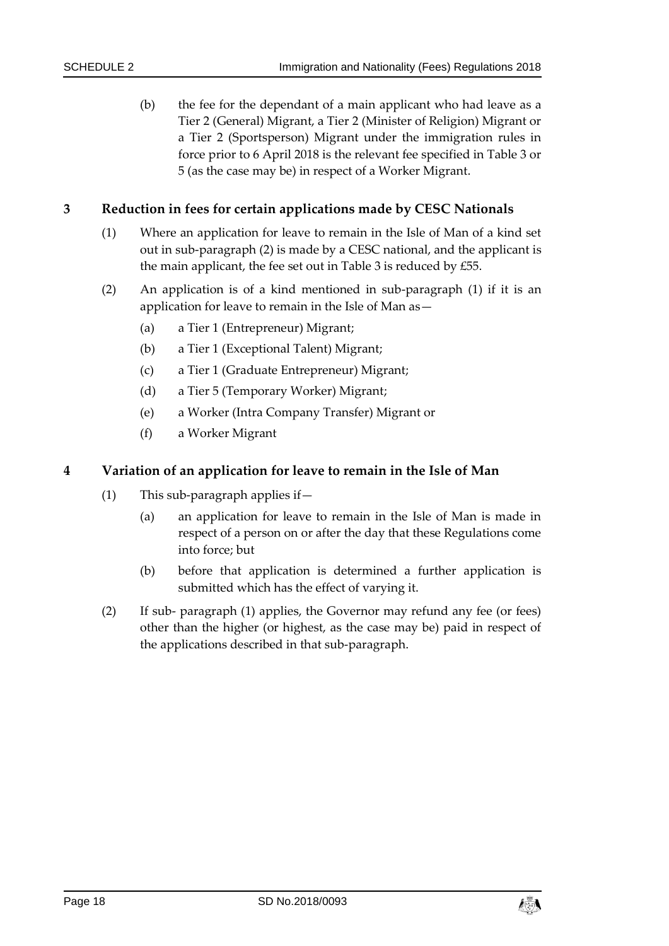(b) the fee for the dependant of a main applicant who had leave as a Tier 2 (General) Migrant, a Tier 2 (Minister of Religion) Migrant or a Tier 2 (Sportsperson) Migrant under the immigration rules in force prior to 6 April 2018 is the relevant fee specified in Table 3 or 5 (as the case may be) in respect of a Worker Migrant.

# **3 Reduction in fees for certain applications made by CESC Nationals**

- (1) Where an application for leave to remain in the Isle of Man of a kind set out in sub-paragraph (2) is made by a CESC national, and the applicant is the main applicant, the fee set out in Table 3 is reduced by £55.
- (2) An application is of a kind mentioned in sub-paragraph (1) if it is an application for leave to remain in the Isle of Man as—
	- (a) a Tier 1 (Entrepreneur) Migrant;
	- (b) a Tier 1 (Exceptional Talent) Migrant;
	- (c) a Tier 1 (Graduate Entrepreneur) Migrant;
	- (d) a Tier 5 (Temporary Worker) Migrant;
	- (e) a Worker (Intra Company Transfer) Migrant or
	- (f) a Worker Migrant

### **4 Variation of an application for leave to remain in the Isle of Man**

- (1) This sub-paragraph applies if—
	- (a) an application for leave to remain in the Isle of Man is made in respect of a person on or after the day that these Regulations come into force; but
	- (b) before that application is determined a further application is submitted which has the effect of varying it.
- (2) If sub- paragraph (1) applies, the Governor may refund any fee (or fees) other than the higher (or highest, as the case may be) paid in respect of the applications described in that sub-paragraph.

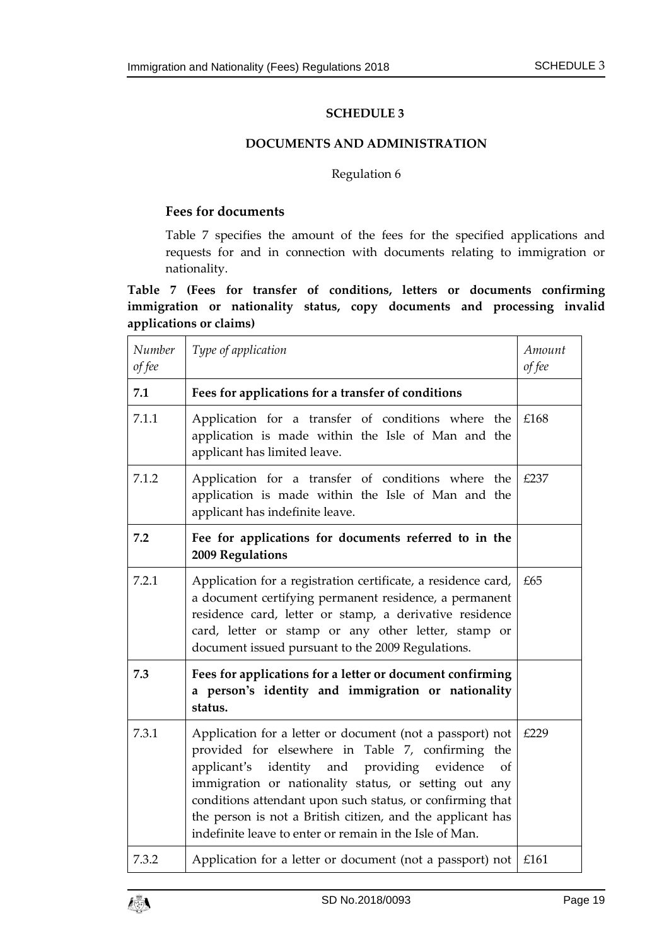### **DOCUMENTS AND ADMINISTRATION**

### Regulation 6

### <span id="page-18-1"></span><span id="page-18-0"></span>**Fees for documents**

Table 7 specifies the amount of the fees for the specified applications and requests for and in connection with documents relating to immigration or nationality.

**Table 7 (Fees for transfer of conditions, letters or documents confirming immigration or nationality status, copy documents and processing invalid applications or claims)**

| Number<br>of fee | Type of application                                                                                                                                                                                                                                                                                                                                                                                                            | Amount<br>of fee |
|------------------|--------------------------------------------------------------------------------------------------------------------------------------------------------------------------------------------------------------------------------------------------------------------------------------------------------------------------------------------------------------------------------------------------------------------------------|------------------|
| 7.1              | Fees for applications for a transfer of conditions                                                                                                                                                                                                                                                                                                                                                                             |                  |
| 7.1.1            | Application for a transfer of conditions where the<br>application is made within the Isle of Man and the<br>applicant has limited leave.                                                                                                                                                                                                                                                                                       | £168             |
| 7.1.2            | Application for a transfer of conditions where the<br>application is made within the Isle of Man and the<br>applicant has indefinite leave.                                                                                                                                                                                                                                                                                    | £237             |
| 7.2              | Fee for applications for documents referred to in the<br>2009 Regulations                                                                                                                                                                                                                                                                                                                                                      |                  |
| 7.2.1            | Application for a registration certificate, a residence card,<br>a document certifying permanent residence, a permanent<br>residence card, letter or stamp, a derivative residence<br>card, letter or stamp or any other letter, stamp or<br>document issued pursuant to the 2009 Regulations.                                                                                                                                 | £65              |
| 7.3              | Fees for applications for a letter or document confirming<br>a person's identity and immigration or nationality<br>status.                                                                                                                                                                                                                                                                                                     |                  |
| 7.3.1            | Application for a letter or document (not a passport) not<br>provided for elsewhere in Table 7, confirming<br>the<br>identity<br>and providing<br>evidence<br>applicant's<br>of<br>immigration or nationality status, or setting out any<br>conditions attendant upon such status, or confirming that<br>the person is not a British citizen, and the applicant has<br>indefinite leave to enter or remain in the Isle of Man. | £229             |
| 7.3.2            | Application for a letter or document (not a passport) not                                                                                                                                                                                                                                                                                                                                                                      | £161             |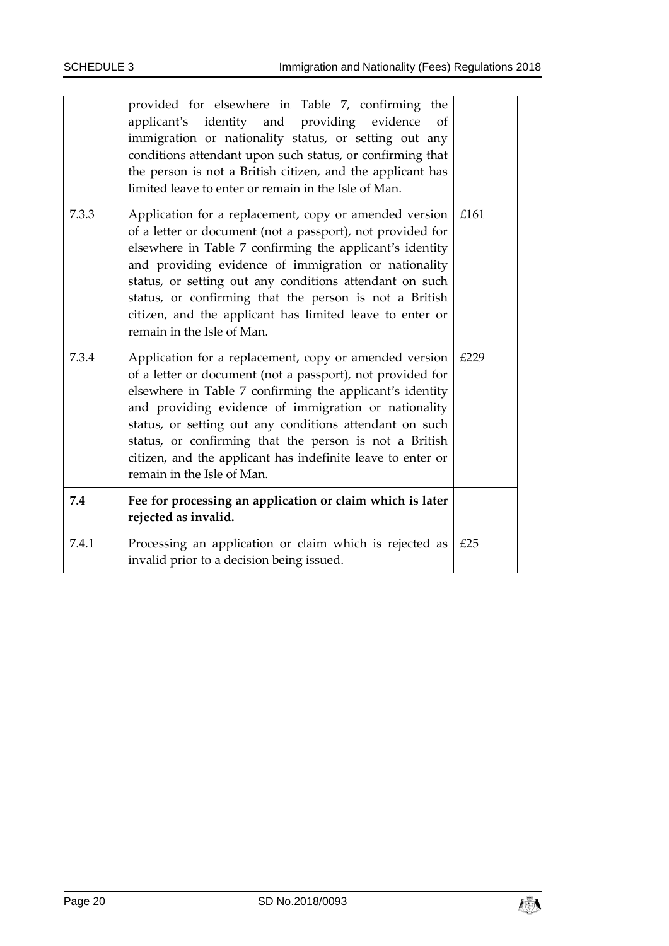|       | provided for elsewhere in Table 7, confirming the<br>identity and providing evidence<br>applicant's<br>of<br>immigration or nationality status, or setting out any<br>conditions attendant upon such status, or confirming that<br>the person is not a British citizen, and the applicant has<br>limited leave to enter or remain in the Isle of Man.                                                                                                      |      |
|-------|------------------------------------------------------------------------------------------------------------------------------------------------------------------------------------------------------------------------------------------------------------------------------------------------------------------------------------------------------------------------------------------------------------------------------------------------------------|------|
| 7.3.3 | Application for a replacement, copy or amended version<br>of a letter or document (not a passport), not provided for<br>elsewhere in Table 7 confirming the applicant's identity<br>and providing evidence of immigration or nationality<br>status, or setting out any conditions attendant on such<br>status, or confirming that the person is not a British<br>citizen, and the applicant has limited leave to enter or<br>remain in the Isle of Man.    | £161 |
| 7.3.4 | Application for a replacement, copy or amended version<br>of a letter or document (not a passport), not provided for<br>elsewhere in Table 7 confirming the applicant's identity<br>and providing evidence of immigration or nationality<br>status, or setting out any conditions attendant on such<br>status, or confirming that the person is not a British<br>citizen, and the applicant has indefinite leave to enter or<br>remain in the Isle of Man. | £229 |
| 7.4   | Fee for processing an application or claim which is later<br>rejected as invalid.                                                                                                                                                                                                                                                                                                                                                                          |      |
| 7.4.1 | Processing an application or claim which is rejected as<br>invalid prior to a decision being issued.                                                                                                                                                                                                                                                                                                                                                       | £25  |

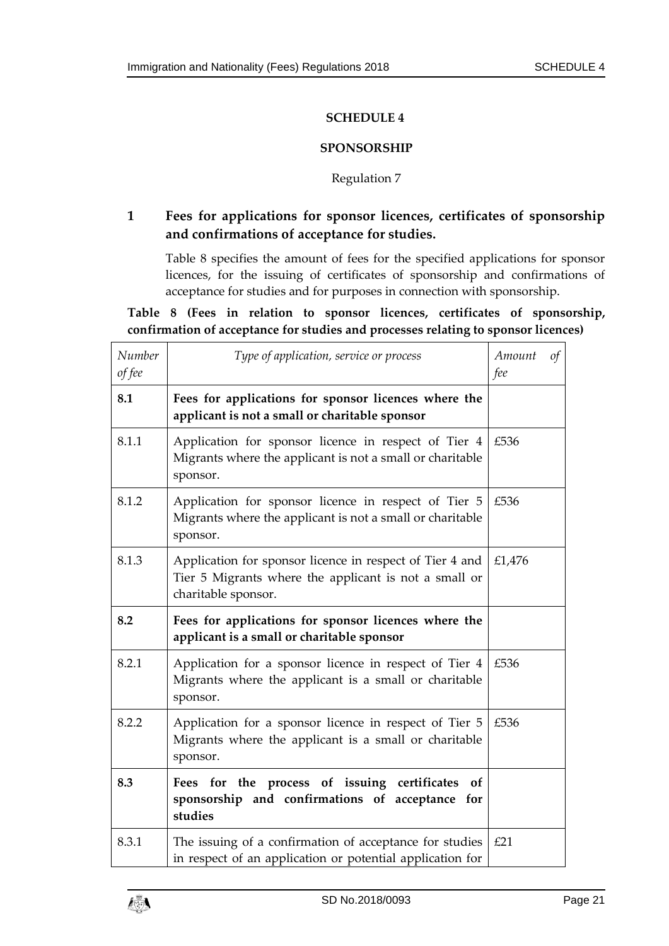### **SPONSORSHIP**

### Regulation 7

# <span id="page-20-1"></span><span id="page-20-0"></span>**1 Fees for applications for sponsor licences, certificates of sponsorship and confirmations of acceptance for studies.**

Table 8 specifies the amount of fees for the specified applications for sponsor licences, for the issuing of certificates of sponsorship and confirmations of acceptance for studies and for purposes in connection with sponsorship.

**Table 8 (Fees in relation to sponsor licences, certificates of sponsorship, confirmation of acceptance for studies and processes relating to sponsor licences)**

| Number<br>of fee | Type of application, service or process                                                                                                  | Amount<br>fee | $\sigma f$ |
|------------------|------------------------------------------------------------------------------------------------------------------------------------------|---------------|------------|
| 8.1              | Fees for applications for sponsor licences where the<br>applicant is not a small or charitable sponsor                                   |               |            |
| 8.1.1            | Application for sponsor licence in respect of Tier 4<br>Migrants where the applicant is not a small or charitable<br>sponsor.            | £536          |            |
| 8.1.2            | Application for sponsor licence in respect of Tier 5<br>Migrants where the applicant is not a small or charitable<br>sponsor.            | £536          |            |
| 8.1.3            | Application for sponsor licence in respect of Tier 4 and<br>Tier 5 Migrants where the applicant is not a small or<br>charitable sponsor. | £1,476        |            |
| 8.2              | Fees for applications for sponsor licences where the<br>applicant is a small or charitable sponsor                                       |               |            |
| 8.2.1            | Application for a sponsor licence in respect of Tier 4<br>Migrants where the applicant is a small or charitable<br>sponsor.              | £536          |            |
| 8.2.2            | Application for a sponsor licence in respect of Tier 5<br>Migrants where the applicant is a small or charitable<br>sponsor.              | £536          |            |
| 8.3              | Fees for the process of issuing certificates<br>of<br>sponsorship and confirmations of acceptance for<br>studies                         |               |            |
| 8.3.1            | The issuing of a confirmation of acceptance for studies<br>in respect of an application or potential application for                     | £21           |            |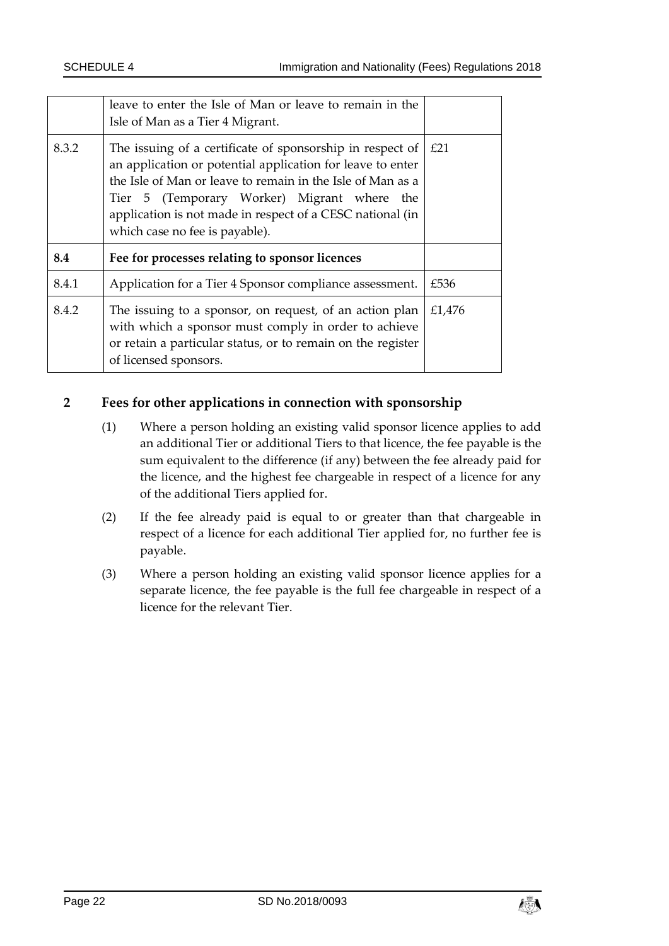|       | leave to enter the Isle of Man or leave to remain in the<br>Isle of Man as a Tier 4 Migrant.                                                                                                                                                                                                                                        |      |
|-------|-------------------------------------------------------------------------------------------------------------------------------------------------------------------------------------------------------------------------------------------------------------------------------------------------------------------------------------|------|
| 8.3.2 | The issuing of a certificate of sponsorship in respect of<br>an application or potential application for leave to enter<br>the Isle of Man or leave to remain in the Isle of Man as a<br>Tier 5 (Temporary Worker) Migrant where the<br>application is not made in respect of a CESC national (in<br>which case no fee is payable). | E21  |
|       |                                                                                                                                                                                                                                                                                                                                     |      |
| 8.4   | Fee for processes relating to sponsor licences                                                                                                                                                                                                                                                                                      |      |
| 8.4.1 | Application for a Tier 4 Sponsor compliance assessment.                                                                                                                                                                                                                                                                             | £536 |

# **2 Fees for other applications in connection with sponsorship**

- (1) Where a person holding an existing valid sponsor licence applies to add an additional Tier or additional Tiers to that licence, the fee payable is the sum equivalent to the difference (if any) between the fee already paid for the licence, and the highest fee chargeable in respect of a licence for any of the additional Tiers applied for.
- (2) If the fee already paid is equal to or greater than that chargeable in respect of a licence for each additional Tier applied for, no further fee is payable.
- (3) Where a person holding an existing valid sponsor licence applies for a separate licence, the fee payable is the full fee chargeable in respect of a licence for the relevant Tier.

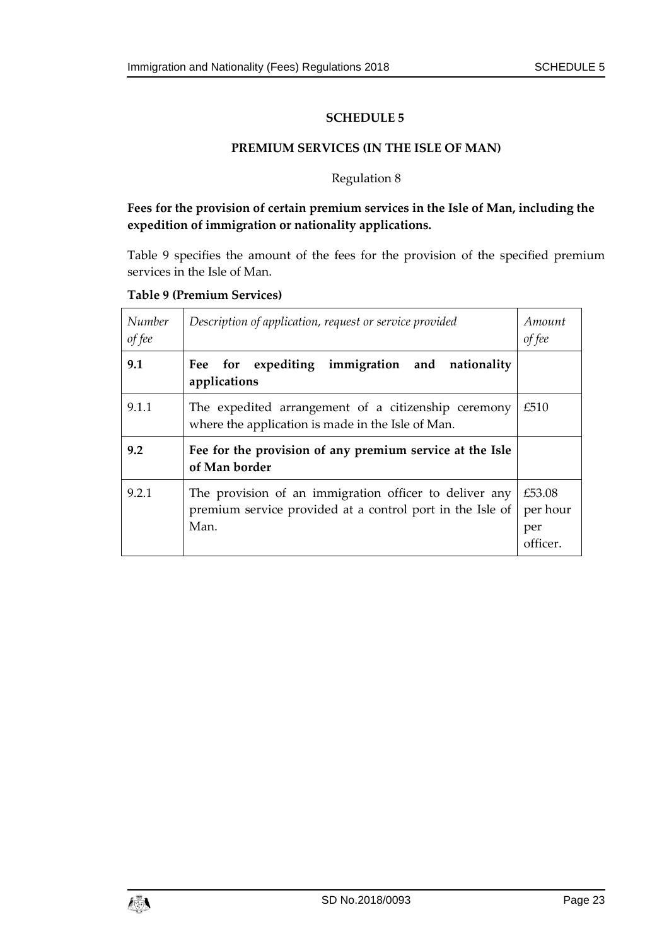#### **PREMIUM SERVICES (IN THE ISLE OF MAN)**

#### Regulation 8

# <span id="page-22-1"></span><span id="page-22-0"></span>**Fees for the provision of certain premium services in the Isle of Man, including the expedition of immigration or nationality applications.**

Table 9 specifies the amount of the fees for the provision of the specified premium services in the Isle of Man.

#### **Table 9 (Premium Services)**

| Number<br>of fee | Description of application, request or service provided                                                                     | Amount<br>of fee                     |
|------------------|-----------------------------------------------------------------------------------------------------------------------------|--------------------------------------|
| 9.1              | Fee for expediting immigration and nationality<br>applications                                                              |                                      |
| 9.1.1            | The expedited arrangement of a citizenship ceremony<br>where the application is made in the Isle of Man.                    | £510                                 |
| 9.2              | Fee for the provision of any premium service at the Isle<br>of Man border                                                   |                                      |
| 9.2.1            | The provision of an immigration officer to deliver any<br>premium service provided at a control port in the Isle of<br>Man. | £53.08<br>per hour<br>per<br>officer |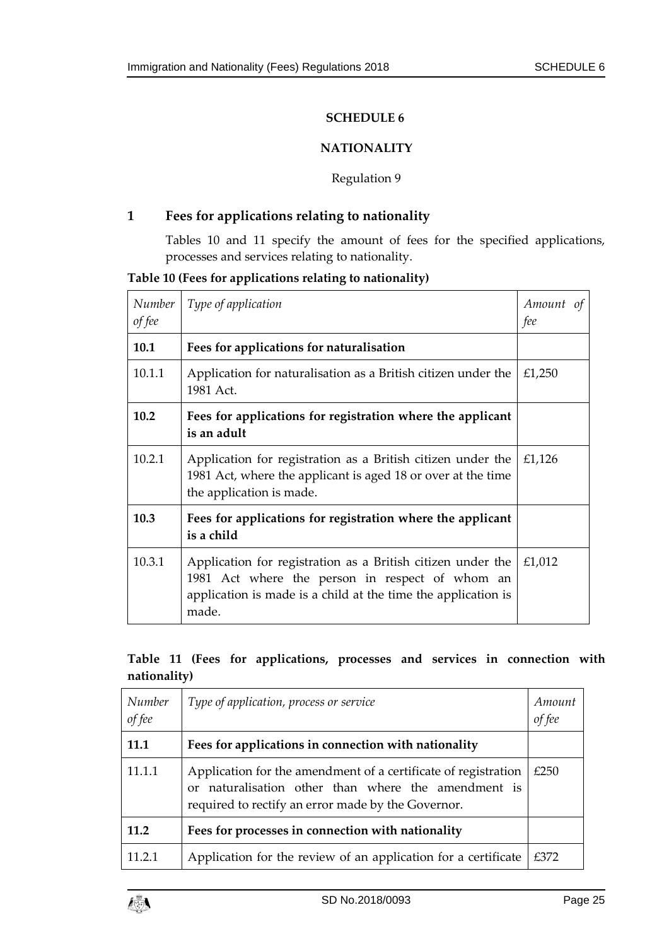### **NATIONALITY**

#### Regulation 9

# <span id="page-24-1"></span><span id="page-24-0"></span>**1 Fees for applications relating to nationality**

Tables 10 and 11 specify the amount of fees for the specified applications, processes and services relating to nationality.

**Table 10 (Fees for applications relating to nationality)**

| Number<br>of fee | Type of application                                                                                                                                                                      | Amount<br>of<br>fee |
|------------------|------------------------------------------------------------------------------------------------------------------------------------------------------------------------------------------|---------------------|
| 10.1             | Fees for applications for naturalisation                                                                                                                                                 |                     |
| 10.1.1           | Application for naturalisation as a British citizen under the<br>1981 Act.                                                                                                               | £1,250              |
| 10.2             | Fees for applications for registration where the applicant<br>is an adult                                                                                                                |                     |
| 10.2.1           | Application for registration as a British citizen under the<br>1981 Act, where the applicant is aged 18 or over at the time<br>the application is made.                                  | £1,126              |
| 10.3             | Fees for applications for registration where the applicant<br>is a child                                                                                                                 |                     |
| 10.3.1           | Application for registration as a British citizen under the<br>1981 Act where the person in respect of whom an<br>application is made is a child at the time the application is<br>made. | £1,012              |

# **Table 11 (Fees for applications, processes and services in connection with nationality)**

| Number<br>of fee | Type of application, process or service                                                                                                                                     | Amount<br>of fee |
|------------------|-----------------------------------------------------------------------------------------------------------------------------------------------------------------------------|------------------|
| 11.1             | Fees for applications in connection with nationality                                                                                                                        |                  |
| 11.1.1           | Application for the amendment of a certificate of registration<br>or naturalisation other than where the amendment is<br>required to rectify an error made by the Governor. | £250             |
| 11.2             | Fees for processes in connection with nationality                                                                                                                           |                  |
| 11.2.1           | Application for the review of an application for a certificate                                                                                                              | £372             |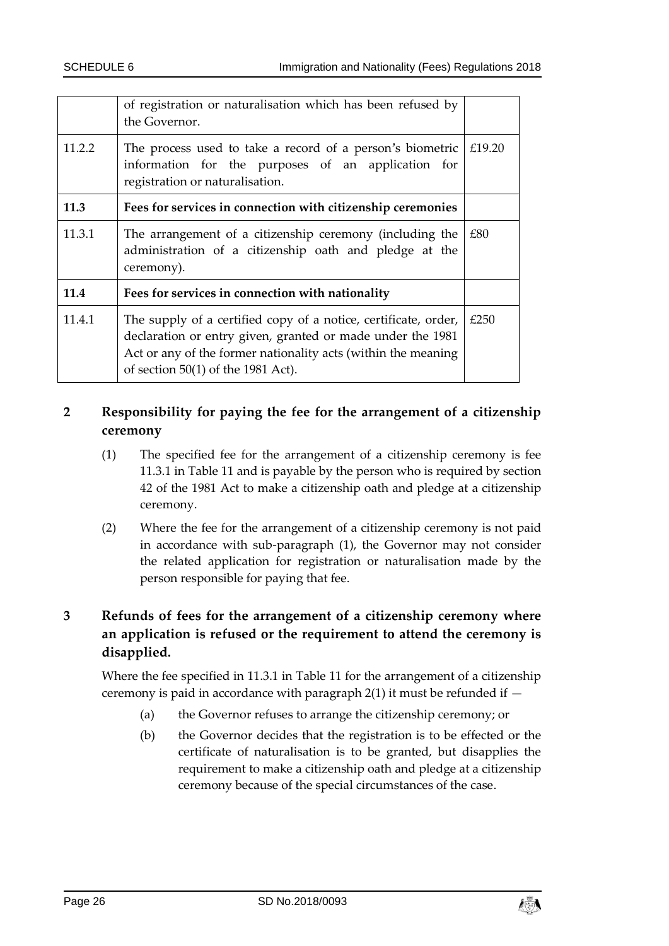|        | of registration or naturalisation which has been refused by<br>the Governor.                                                                                                                                                           |        |
|--------|----------------------------------------------------------------------------------------------------------------------------------------------------------------------------------------------------------------------------------------|--------|
| 11.2.2 | The process used to take a record of a person's biometric<br>information for the purposes of an application for<br>registration or naturalisation.                                                                                     | £19.20 |
| 11.3   | Fees for services in connection with citizenship ceremonies                                                                                                                                                                            |        |
| 11.3.1 | The arrangement of a citizenship ceremony (including the<br>administration of a citizenship oath and pledge at the<br>ceremony).                                                                                                       | £80    |
| 11.4   | Fees for services in connection with nationality                                                                                                                                                                                       |        |
| 11.4.1 | The supply of a certified copy of a notice, certificate, order,<br>declaration or entry given, granted or made under the 1981<br>Act or any of the former nationality acts (within the meaning<br>of section $50(1)$ of the 1981 Act). | £250   |

# **2 Responsibility for paying the fee for the arrangement of a citizenship ceremony**

- (1) The specified fee for the arrangement of a citizenship ceremony is fee 11.3.1 in Table 11 and is payable by the person who is required by section 42 of the 1981 Act to make a citizenship oath and pledge at a citizenship ceremony.
- (2) Where the fee for the arrangement of a citizenship ceremony is not paid in accordance with sub-paragraph (1), the Governor may not consider the related application for registration or naturalisation made by the person responsible for paying that fee.

# **3 Refunds of fees for the arrangement of a citizenship ceremony where an application is refused or the requirement to attend the ceremony is disapplied.**

Where the fee specified in 11.3.1 in Table 11 for the arrangement of a citizenship ceremony is paid in accordance with paragraph  $2(1)$  it must be refunded if  $-$ 

- (a) the Governor refuses to arrange the citizenship ceremony; or
- (b) the Governor decides that the registration is to be effected or the certificate of naturalisation is to be granted, but disapplies the requirement to make a citizenship oath and pledge at a citizenship ceremony because of the special circumstances of the case.

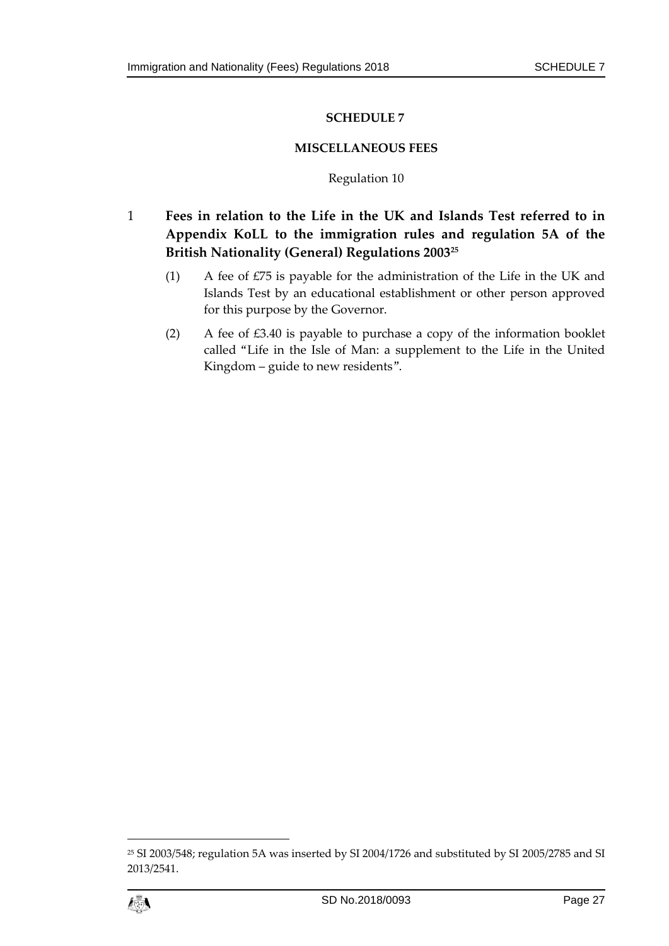### **MISCELLANEOUS FEES**

### Regulation 10

<span id="page-26-1"></span><span id="page-26-0"></span>1 **Fees in relation to the Life in the UK and Islands Test referred to in Appendix KoLL to the immigration rules and regulation 5A of the British Nationality (General) Regulations 2003<sup>25</sup>**

- (1) A fee of £75 is payable for the administration of the Life in the UK and Islands Test by an educational establishment or other person approved for this purpose by the Governor.
- (2) A fee of £3.40 is payable to purchase a copy of the information booklet called "Life in the Isle of Man: a supplement to the Life in the United Kingdom – guide to new residents".

<sup>25</sup> SI 2003/548; regulation 5A was inserted by SI 2004/1726 and substituted by SI 2005/2785 and SI 2013/2541.



 $\overline{a}$